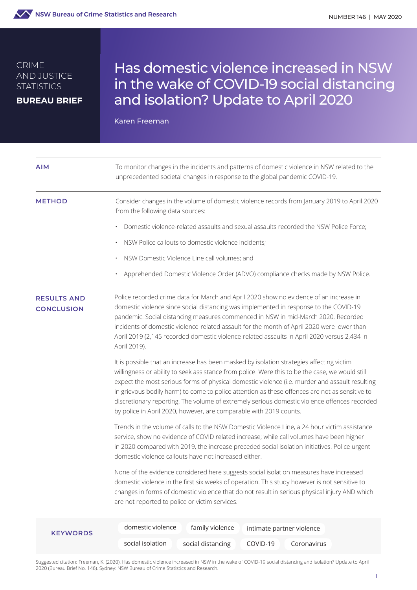

#### CRIME AND JUSTICE **STATISTICS**

**BUREAU BRIEF**

# Has domestic violence increased in NSW in the wake of COVID-19 social distancing and isolation? Update to April 2020

Karen Freeman

| <b>AIM</b>                              | To monitor changes in the incidents and patterns of domestic violence in NSW related to the<br>unprecedented societal changes in response to the global pandemic COVID-19.                                                                                                                                                                                                                                                                                                                                                                                            |
|-----------------------------------------|-----------------------------------------------------------------------------------------------------------------------------------------------------------------------------------------------------------------------------------------------------------------------------------------------------------------------------------------------------------------------------------------------------------------------------------------------------------------------------------------------------------------------------------------------------------------------|
| <b>METHOD</b>                           | Consider changes in the volume of domestic violence records from January 2019 to April 2020<br>from the following data sources:                                                                                                                                                                                                                                                                                                                                                                                                                                       |
|                                         | Domestic violence-related assaults and sexual assaults recorded the NSW Police Force;                                                                                                                                                                                                                                                                                                                                                                                                                                                                                 |
|                                         | NSW Police callouts to domestic violence incidents;                                                                                                                                                                                                                                                                                                                                                                                                                                                                                                                   |
|                                         | NSW Domestic Violence Line call volumes; and                                                                                                                                                                                                                                                                                                                                                                                                                                                                                                                          |
|                                         | Apprehended Domestic Violence Order (ADVO) compliance checks made by NSW Police.                                                                                                                                                                                                                                                                                                                                                                                                                                                                                      |
| <b>RESULTS AND</b><br><b>CONCLUSION</b> | Police recorded crime data for March and April 2020 show no evidence of an increase in<br>domestic violence since social distancing was implemented in response to the COVID-19<br>pandemic. Social distancing measures commenced in NSW in mid-March 2020. Recorded<br>incidents of domestic violence-related assault for the month of April 2020 were lower than<br>April 2019 (2,145 recorded domestic violence-related assaults in April 2020 versus 2,434 in<br>April 2019).                                                                                     |
|                                         | It is possible that an increase has been masked by isolation strategies affecting victim<br>willingness or ability to seek assistance from police. Were this to be the case, we would still<br>expect the most serious forms of physical domestic violence (i.e. murder and assault resulting<br>in grievous bodily harm) to come to police attention as these offences are not as sensitive to<br>discretionary reporting. The volume of extremely serious domestic violence offences recorded<br>by police in April 2020, however, are comparable with 2019 counts. |
|                                         | Trends in the volume of calls to the NSW Domestic Violence Line, a 24 hour victim assistance<br>service, show no evidence of COVID related increase; while call volumes have been higher<br>in 2020 compared with 2019, the increase preceded social isolation initiatives. Police urgent<br>domestic violence callouts have not increased either.                                                                                                                                                                                                                    |
|                                         | None of the evidence considered here suggests social isolation measures have increased<br>domestic violence in the first six weeks of operation. This study however is not sensitive to<br>changes in forms of domestic violence that do not result in serious physical injury AND which<br>are not reported to police or victim services.                                                                                                                                                                                                                            |
| <b>KEYWORDS</b>                         | domestic violence<br>family violence<br>intimate partner violence                                                                                                                                                                                                                                                                                                                                                                                                                                                                                                     |
|                                         | social isolation<br>social distancing<br>COVID-19<br>Coronavirus                                                                                                                                                                                                                                                                                                                                                                                                                                                                                                      |

Suggested citation: Freeman, K. (2020). Has domestic violence increased in NSW in the wake of COVID-19 social distancing and isolation? Update to April 2020 (Bureau Brief No. 146). Sydney: NSW Bureau of Crime Statistics and Research.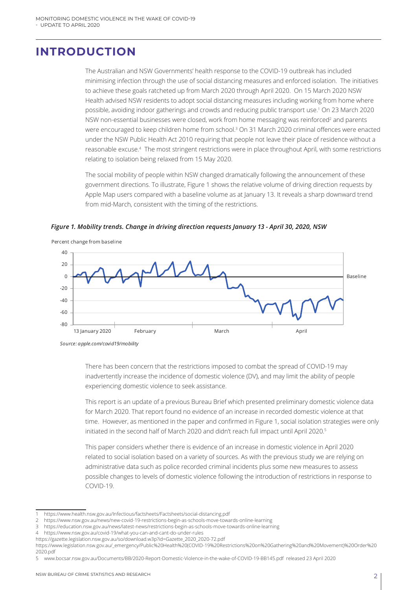# **INTRODUCTION**

The Australian and NSW Governments' health response to the COVID-19 outbreak has included minimising infection through the use of social distancing measures and enforced isolation. The initiatives to achieve these goals ratcheted up from March 2020 through April 2020. On 15 March 2020 NSW Health advised NSW residents to adopt social distancing measures including working from home where possible, avoiding indoor gatherings and crowds and reducing public transport use.1 On 23 March 2020 NSW non-essential businesses were closed, work from home messaging was reinforced<sup>2</sup> and parents were encouraged to keep children home from school.3 On 31 March 2020 criminal offences were enacted under the NSW Public Health Act 2010 requiring that people not leave their place of residence without a reasonable excuse.4 The most stringent restrictions were in place throughout April, with some restrictions relating to isolation being relaxed from 15 May 2020.

The social mobility of people within NSW changed dramatically following the announcement of these government directions. To illustrate, Figure 1 shows the relative volume of driving direction requests by Apple Map users compared with a baseline volume as at January 13. It reveals a sharp downward trend from mid-March, consistent with the timing of the restrictions.

*Figure 1. Mobility trends. Change in driving direction requests January 13 - April 30, 2020, NSW*



*Source: apple.com/covid19/mobility*

There has been concern that the restrictions imposed to combat the spread of COVID-19 may inadvertently increase the incidence of domestic violence (DV), and may limit the ability of people experiencing domestic violence to seek assistance.

This report is an update of a previous Bureau Brief which presented preliminary domestic violence data for March 2020. That report found no evidence of an increase in recorded domestic violence at that time. However, as mentioned in the paper and confirmed in Figure 1, social isolation strategies were only initiated in the second half of March 2020 and didn't reach full impact until April 2020.<sup>5</sup>

This paper considers whether there is evidence of an increase in domestic violence in April 2020 related to social isolation based on a variety of sources. As with the previous study we are relying on administrative data such as police recorded criminal incidents plus some new measures to assess possible changes to levels of domestic violence following the introduction of restrictions in response to COVID-19.

5 www.bocsar.nsw.gov.au/Documents/BB/2020-Report-Domestic-Violence-in-the-wake-of-COVID-19-BB145.pdf released 23 April 2020

<sup>1</sup> https://www.health.nsw.gov.au/Infectious/factsheets/Factsheets/social-distancing.pdf

<sup>2</sup> https://www.nsw.gov.au/news/new-covid-19-restrictions-begin-as-schools-move-towards-online-learning

<sup>3</sup> https://education.nsw.gov.au/news/latest-news/restrictions-begin-as-schools-move-towards-online-learning

<sup>4</sup> https://www.nsw.gov.au/covid-19/what-you-can-and-cant-do-under-rules

https://gazette.legislation.nsw.gov.au/so/download.w3p?id=Gazette\_2020\_2020-72.pdf

https://www.legislation.nsw.gov.au/\_emergency/Public%20Health%20(COVID-19%20Restrictions%20on%20Gathering%20and%20Movement)%20Order%20 2020.pdf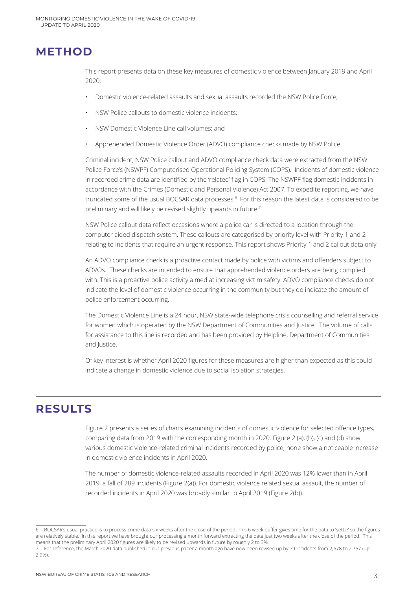### **METHOD**

This report presents data on these key measures of domestic violence between January 2019 and April 2020:

- Domestic violence-related assaults and sexual assaults recorded the NSW Police Force;
- NSW Police callouts to domestic violence incidents;
- NSW Domestic Violence Line call volumes; and
- Apprehended Domestic Violence Order (ADVO) compliance checks made by NSW Police.

Criminal incident, NSW Police callout and ADVO compliance check data were extracted from the NSW Police Force's (NSWPF) Computerised Operational Policing System (COPS). Incidents of domestic violence in recorded crime data are identified by the 'related' flag in COPS. The NSWPF flag domestic incidents in accordance with the Crimes (Domestic and Personal Violence) Act 2007. To expedite reporting, we have truncated some of the usual BOCSAR data processes.6 For this reason the latest data is considered to be preliminary and will likely be revised slightly upwards in future.7

NSW Police callout data reflect occasions where a police car is directed to a location through the computer aided dispatch system. These callouts are categorised by priority level with Priority 1 and 2 relating to incidents that require an urgent response. This report shows Priority 1 and 2 callout data only.

An ADVO compliance check is a proactive contact made by police with victims and offenders subject to ADVOs. These checks are intended to ensure that apprehended violence orders are being complied with. This is a proactive police activity aimed at increasing victim safety. ADVO compliance checks do not indicate the level of domestic violence occurring in the community but they do indicate the amount of police enforcement occurring.

The Domestic Violence Line is a 24 hour, NSW state-wide telephone crisis counselling and referral service for women which is operated by the NSW Department of Communities and Justice. The volume of calls for assistance to this line is recorded and has been provided by Helpline, Department of Communities and Justice.

Of key interest is whether April 2020 figures for these measures are higher than expected as this could indicate a change in domestic violence due to social isolation strategies.

# **RESULTS**

Figure 2 presents a series of charts examining incidents of domestic violence for selected offence types, comparing data from 2019 with the corresponding month in 2020. Figure 2 (a), (b), (c) and (d) show various domestic violence-related criminal incidents recorded by police; none show a noticeable increase in domestic violence incidents in April 2020.

The number of domestic violence-related assaults recorded in April 2020 was 12% lower than in April 2019, a fall of 289 incidents (Figure 2(a)). For domestic violence related sexual assault, the number of recorded incidents in April 2020 was broadly similar to April 2019 (Figure 2(b)).

<sup>6</sup> BOCSAR's usual practice is to process crime data six weeks after the close of the period. This 6 week buffer gives time for the data to 'settle' so the figures are relatively stable. In this report we have brought our processing a month forward extracting the data just two weeks after the close of the period. This means that the preliminary April 2020 figures are likely to be revised upwards in future by roughly 2 to 3%.

<sup>7</sup> For reference, the March 2020 data published in our previous paper a month ago have now been revised up by 79 incidents from 2,678 to 2,757 (up 2.9%).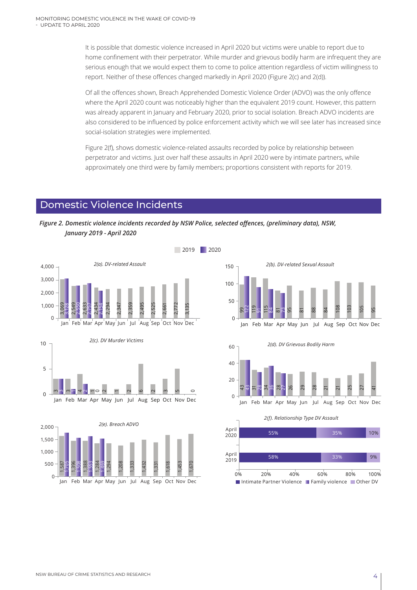It is possible that domestic violence increased in April 2020 but victims were unable to report due to home confinement with their perpetrator. While murder and grievous bodily harm are infrequent they are serious enough that we would expect them to come to police attention regardless of victim willingness to report. Neither of these offences changed markedly in April 2020 (Figure 2(c) and 2(d)).

Of all the offences shown, Breach Apprehended Domestic Violence Order (ADVO) was the only offence where the April 2020 count was noticeably higher than the equivalent 2019 count. However, this pattern was already apparent in January and February 2020, prior to social isolation. Breach ADVO incidents are also considered to be influenced by police enforcement activity which we will see later has increased since social-isolation strategies were implemented.

Figure 2(f), shows domestic violence-related assaults recorded by police by relationship between perpetrator and victims. Just over half these assaults in April 2020 were by intimate partners, while approximately one third were by family members; proportions consistent with reports for 2019.

#### Domestic Violence Incidents







*2(d). DV Grievous Bodily Harm*



*2(f). Relationship Type DV Assault*

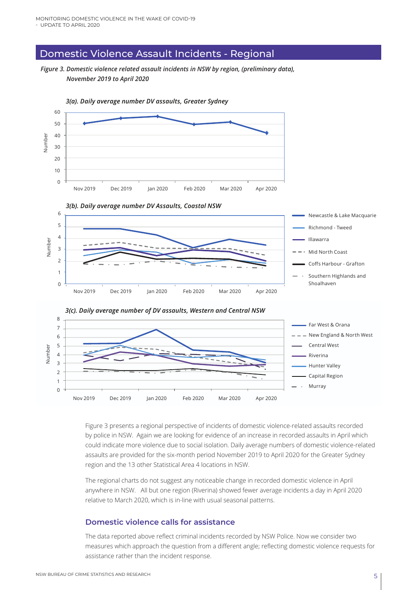#### Domestic Violence Assault Incidents - Regional

*Figure 3. Domestic violence related assault incidents in NSW by region, (preliminary data), November 2019 to April 2020*



Figure 3 presents a regional perspective of incidents of domestic violence-related assaults recorded by police in NSW. Again we are looking for evidence of an increase in recorded assaults in April which could indicate more violence due to social isolation. Daily average numbers of domestic violence-related assaults are provided for the six-month period November 2019 to April 2020 for the Greater Sydney region and the 13 other Statistical Area 4 locations in NSW.

The regional charts do not suggest any noticeable change in recorded domestic violence in April anywhere in NSW. All but one region (Riverina) showed fewer average incidents a day in April 2020 relative to March 2020, which is in-line with usual seasonal patterns.

#### **Domestic violence calls for assistance**

The data reported above reflect criminal incidents recorded by NSW Police. Now we consider two measures which approach the question from a different angle; reflecting domestic violence requests for assistance rather than the incident response.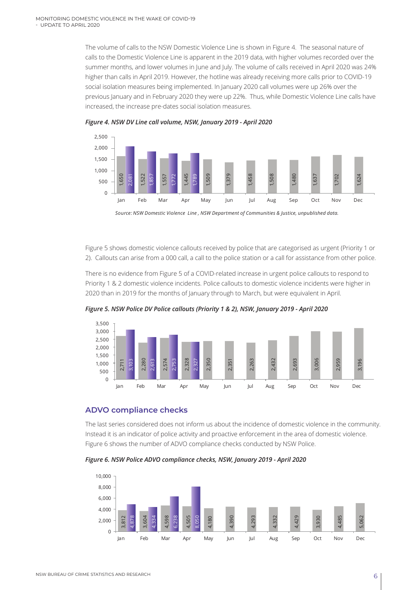The volume of calls to the NSW Domestic Violence Line is shown in Figure 4. The seasonal nature of calls to the Domestic Violence Line is apparent in the 2019 data, with higher volumes recorded over the summer months, and lower volumes in June and July. The volume of calls received in April 2020 was 24% higher than calls in April 2019. However, the hotline was already receiving more calls prior to COVID-19 social isolation measures being implemented. In January 2020 call volumes were up 26% over the previous January and in February 2020 they were up 22%. Thus, while Domestic Violence Line calls have increased, the increase pre-dates social isolation measures.





*Source: NSW Domestic Violence Line , NSW Department of Communities & Justice, unpublished data.*

Figure 5 shows domestic violence callouts received by police that are categorised as urgent (Priority 1 or 2). Callouts can arise from a 000 call, a call to the police station or a call for assistance from other police.

There is no evidence from Figure 5 of a COVID-related increase in urgent police callouts to respond to Priority 1 & 2 domestic violence incidents. Police callouts to domestic violence incidents were higher in 2020 than in 2019 for the months of January through to March, but were equivalent in April.



*Figure 5. NSW Police DV Police callouts (Priority 1 & 2), NSW, January 2019 - April 2020*

#### **ADVO compliance checks**

The last series considered does not inform us about the incidence of domestic violence in the community. Instead it is an indicator of police activity and proactive enforcement in the area of domestic violence. Figure 6 shows the number of ADVO compliance checks conducted by NSW Police.

*Figure 6. NSW Police ADVO compliance checks, NSW, January 2019 - April 2020*